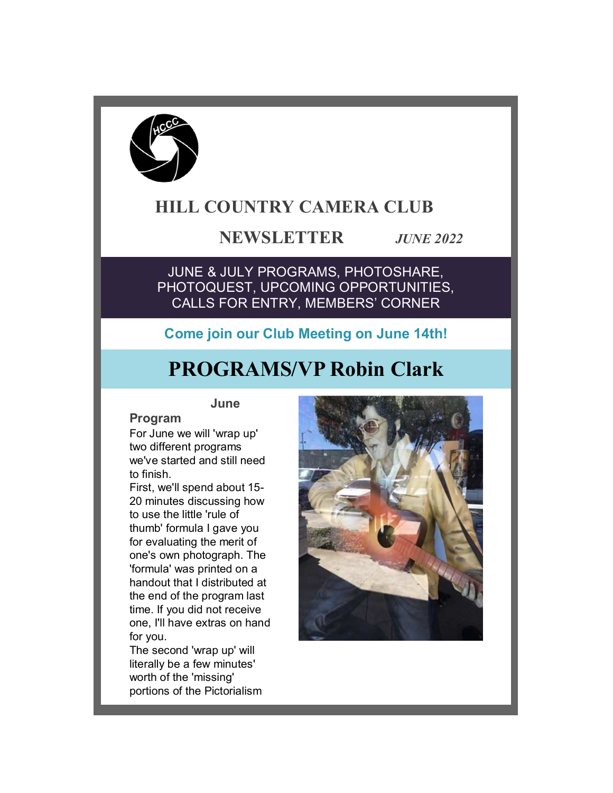

# **HILL COUNTRY CAMERA CLUB**

# **NEWSLETTER** *JUNE 2022*

JUNE & JULY PROGRAMS, PHOTOSHARE, PHOTOQUEST, UPCOMING OPPORTUNITIES, CALLS FOR ENTRY, MEMBERS' CORNER

# **Come join our Club Meeting on June 14th!**

# **PROGRAMS/VP Robin Clark**

#### **June**

# **Program**

For June we will 'wrap up' two different programs we've started and still need to finish.

First, we'll spend about 15- 20 minutes discussing how to use the little 'rule of thumb' formula I gave you for evaluating the merit of one's own photograph. The 'formula' was printed on a handout that I distributed at the end of the program last time. If you did not receive one, I'll have extras on hand for you.

The second 'wrap up' will literally be a few minutes' worth of the 'missing' portions of the Pictorialism

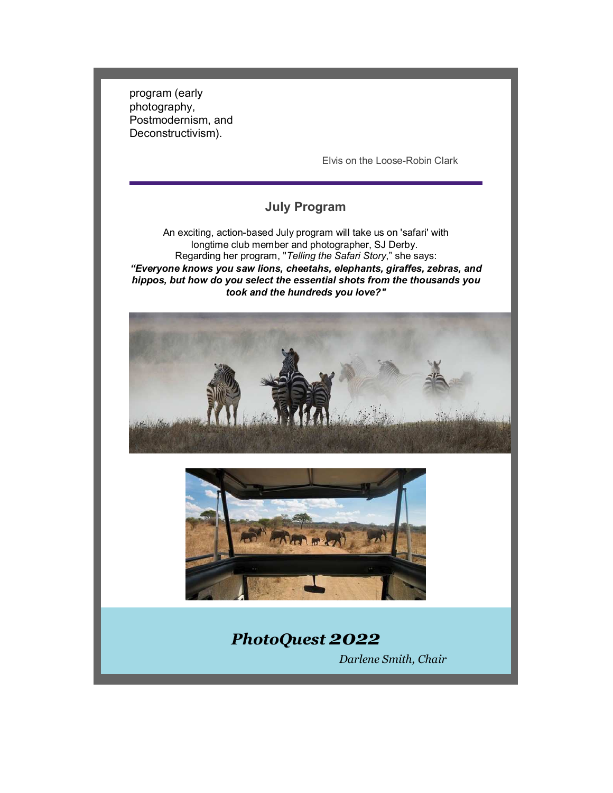program (early photography, Postmodernism, and Deconstructivism).

Elvis on the Loose-Robin Clark

# **July Program**

An exciting, action-based July program will take us on 'safari' with longtime club member and photographer, SJ Derby. Regarding her program, "*Telling the Safari Story*," she says: *"Everyone knows you saw lions, cheetahs, elephants, giraffes, zebras, and hippos, but how do you select the essential shots from the thousands you took and the hundreds you love?"*





# *PhotoQuest 2022 Darlene Smith, Chair*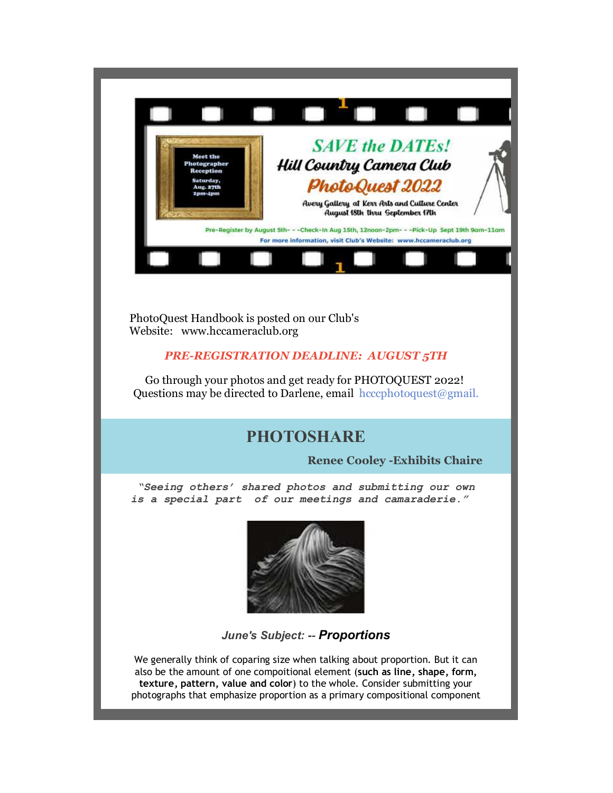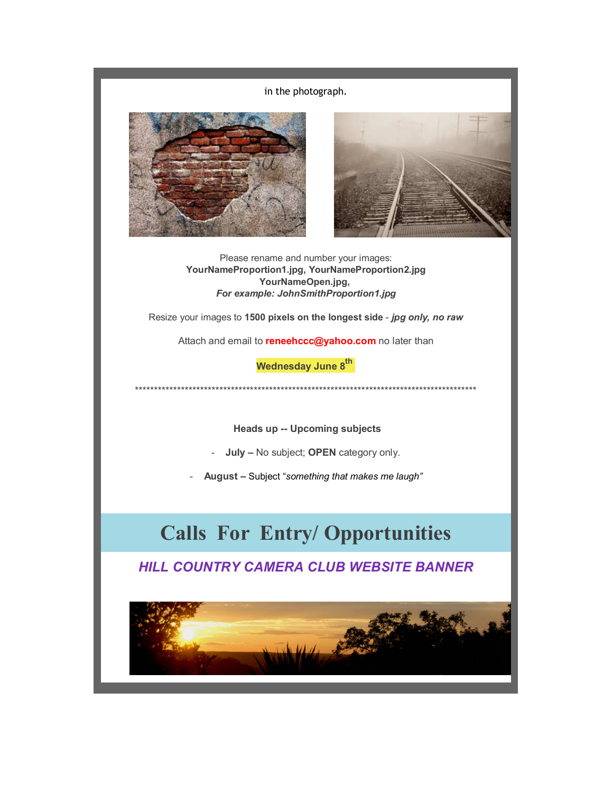in the photograph.





Please rename and number your images: **YourNameProportion1.jpg, YourNameProportion2.jpg YourNameOpen.jpg,**  *For example: JohnSmithProportion1.jpg*

Resize your images to **1500 pixels on the longest side** - *jpg only, no raw*

Attach and email to **reneehccc@yahoo.com** no later than

**Wednesday June 8th** 

\*\*\*\*\*\*\*\*\*\*\*\*\*\*\*\*\*\*\*\*\*\*\*\*\*\*\*\*\*\*\*\*\*\*\*\*\*\*\*\*\*\*\*\*\*\*\*\*\*\*\*\*\*\*\*\*\*\*\*\*\*\*\*\*\*\*\*\*\*\*\*\*\*\*\*\*\*\*\*\*\*\*\*\*\*\*\*\*\*

 **Heads up -- Upcoming subjects**

- **July –** No subject; **OPEN** category only.

- **August –** Subject "*something that makes me laugh"*

# **Calls For Entry/ Opportunities**

*HILL COUNTRY CAMERA CLUB WEBSITE BANNER*

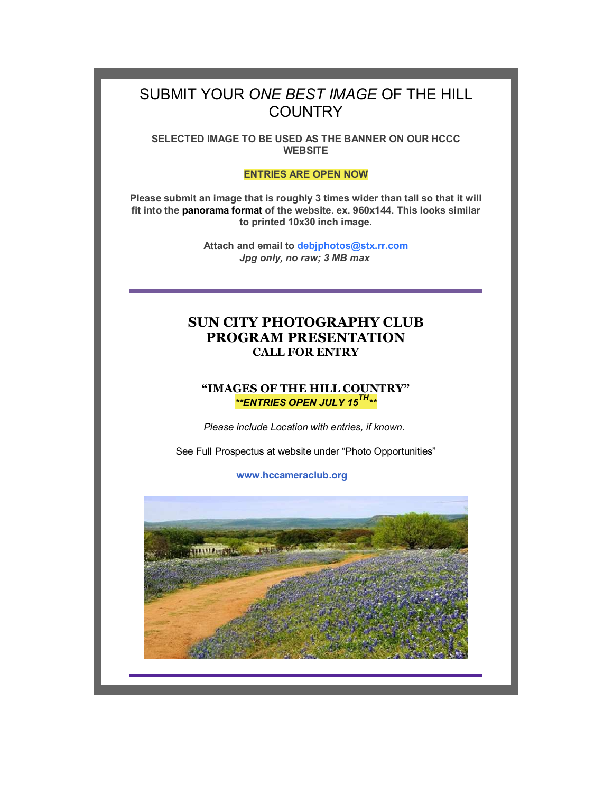# SUBMIT YOUR *ONE BEST IMAGE* OF THE HILL **COUNTRY**

**SELECTED IMAGE TO BE USED AS THE BANNER ON OUR HCCC WEBSITE**

#### **ENTRIES ARE OPEN NOW**

**Please submit an image that is roughly 3 times wider than tall so that it will fit into the panorama format of the website. ex. 960x144. This looks similar to printed 10x30 inch image.**

> **Attach and email to debjphotos@stx.rr.com** *Jpg only, no raw; 3 MB max*

## **SUN CITY PHOTOGRAPHY CLUB PROGRAM PRESENTATION CALL FOR ENTRY**

#### **"IMAGES OF THE HILL COUNTRY"** *\*\*ENTRIES OPEN JULY 15TH\*\**

*Please include Location with entries, if known.* 

See Full Prospectus at website under "Photo Opportunities"

**www.hccameraclub.org**

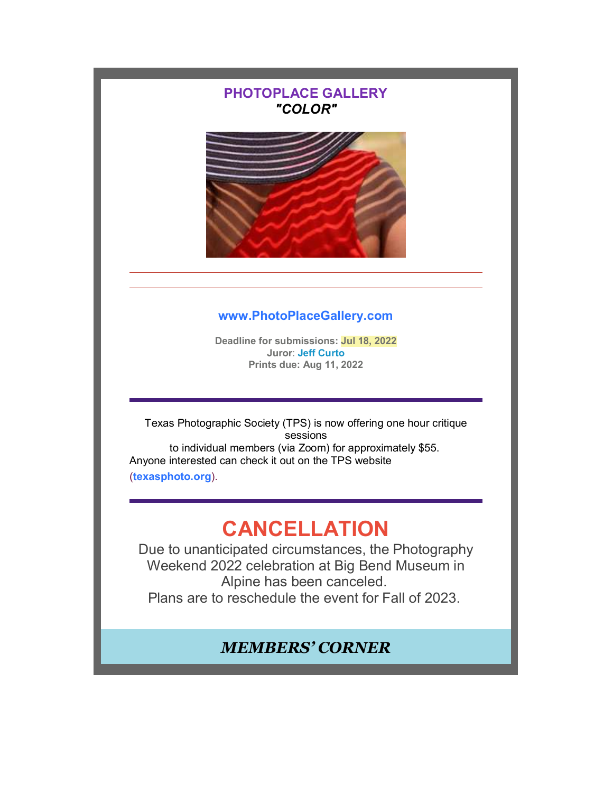# **PHOTOPLACE GALLERY** *"COLOR"* **www.PhotoPlaceGallery.com Deadline for submissions: Jul 18, 2022 Juror**: **Jeff Curto Prints due: Aug 11, 2022** Texas Photographic Society (TPS) is now offering one hour critique sessions to individual members (via Zoom) for approximately \$55. Anyone interested can check it out on the TPS website (**texasphoto.org**). **CANCELLATION** Due to unanticipated circumstances, the Photography Weekend 2022 celebration at Big Bend Museum in Alpine has been canceled. Plans are to reschedule the event for Fall of 2023. *MEMBERS' CORNER*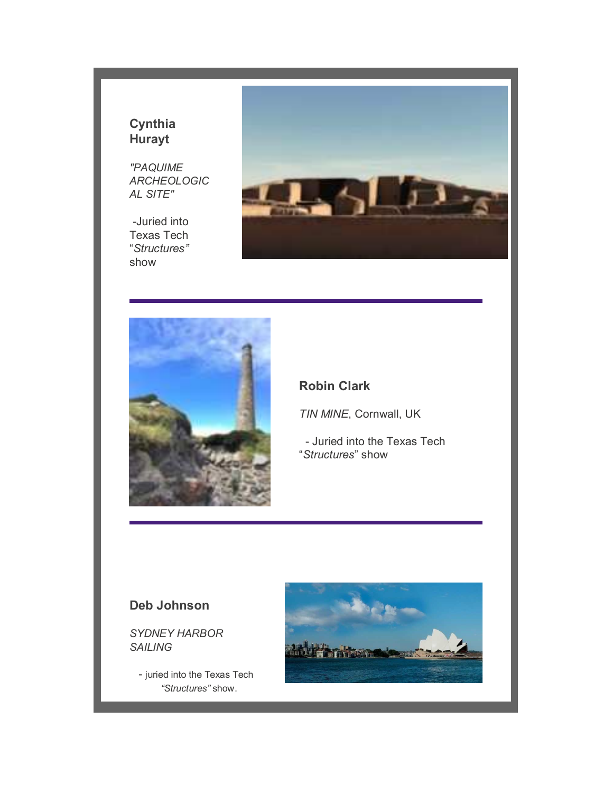# **Cynthia Hurayt**

*"PAQUIME ARCHEOLOGIC AL SITE"*

 *-*Juried into Texas Tech "*Structures"* show





#### **Robin Clark**

*TIN MINE*, Cornwall, UK

 - Juried into the Texas Tech "*Structures*" show

### **Deb Johnson**

*SYDNEY HARBOR SAILING*

- juried into the Texas Tech *"Structures"* show.